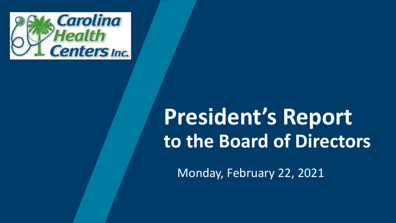

# **President's Report to the Board of Directors**

Monday, February 22, 2021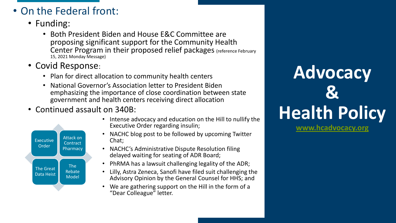### • On the Federal front:

- Funding:
	- Both President Biden and House E&C Committee are proposing significant support for the Community Health Center Program in their proposed relief packages (reference February 15, 2021 Monday Message)
- Covid Response:
	- Plan for direct allocation to community health centers
	- National Governor's Association letter to President Biden emphasizing the importance of close coordination between state government and health centers receiving direct allocation
- Continued assault on 340B:



- Intense advocacy and education on the Hill to nullify the Executive Order regarding insulin;
- NACHC blog post to be followed by upcoming Twitter Chat;
- NACHC's Administrative Dispute Resolution filing delayed waiting for seating of ADR Board;
- PhRMA has a lawsuit challenging legality of the ADR;
- Lilly, Astra Zeneca, Sanofi have filed suit challenging the Advisory Opinion by the General Counsel for HHS; and
- We are gathering support on the Hill in the form of a "Dear Colleague" letter.

# **Advocacy & Health Policy**

**[www.hcadvocacy.org](http://www.hcadvocacy.org/)**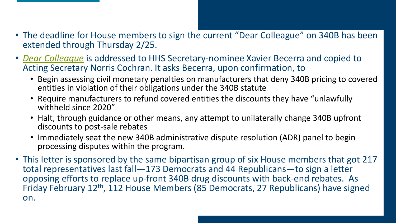- The deadline for House members to sign the current "Dear Colleague" on 340B has been extended through Thursday 2/25.
- *[Dear Colleague](https://340breport.com/wp-content/uploads/2021/02/Draft-US-House-340B-sign-on-letter-02.04.2021.pdf)* is addressed to HHS Secretary-nominee Xavier Becerra and copied to Acting Secretary Norris Cochran. It asks Becerra, upon confirmation, to
	- Begin assessing civil monetary penalties on manufacturers that deny 340B pricing to covered entities in violation of their obligations under the 340B statute
	- Require manufacturers to refund covered entities the discounts they have "unlawfully withheld since 2020"
	- Halt, through guidance or other means, any attempt to unilaterally change 340B upfront discounts to post-sale rebates
	- Immediately seat the new 340B administrative dispute resolution (ADR) panel to begin processing disputes within the program.
- This letter is sponsored by the same bipartisan group of six House members that got 217 total representatives last fall—173 Democrats and 44 Republicans—to sign a letter opposing efforts to replace up-front 340B drug discounts with back-end rebates. As Friday February 12th, 112 House Members (85 Democrats, 27 Republicans) have signed on.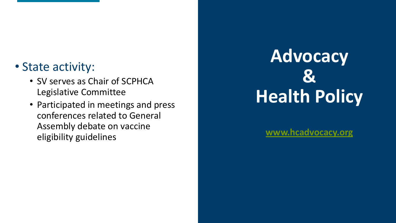### • State activity:

- SV serves as Chair of SCPHCA Legislative Committee
- Participated in meetings and press conferences related to General Assembly debate on vaccine eligibility guidelines

## **Advocacy & Health Policy**

**[www.hcadvocacy.org](http://www.hcadvocacy.org/)**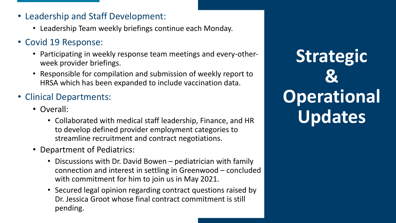- Leadership and Staff Development:
	- Leadership Team weekly briefings continue each Monday.
- Covid 19 Response:
	- Participating in weekly response team meetings and every-otherweek provider briefings.
	- Responsible for compilation and submission of weekly report to HRSA which has been expanded to include vaccination data.
- Clinical Departments:
	- Overall:
		- Collaborated with medical staff leadership, Finance, and HR to develop defined provider employment categories to streamline recruitment and contract negotiations.
	- Department of Pediatrics:
		- Discussions with Dr. David Bowen pediatrician with family connection and interest in settling in Greenwood – concluded with commitment for him to join us in May 2021.
		- Secured legal opinion regarding contract questions raised by Dr. Jessica Groot whose final contract commitment is still pending.

**Strategic & Operational Updates**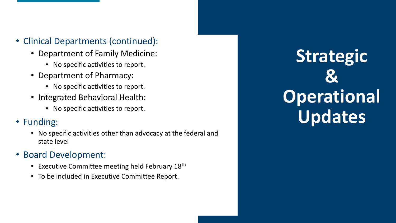- Clinical Departments (continued):
	- Department of Family Medicine:
		- No specific activities to report.
	- Department of Pharmacy:
		- No specific activities to report.
	- Integrated Behavioral Health:
		- No specific activities to report.
- Funding:
	- No specific activities other than advocacy at the federal and state level
- Board Development:
	- Executive Committee meeting held February 18th
	- To be included in Executive Committee Report.

**Strategic & Operational Updates**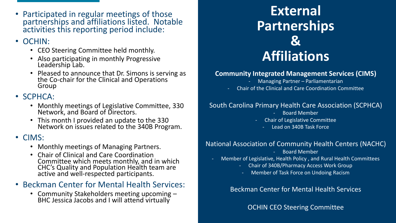• Participated in regular meetings of those partnerships and affiliations listed. Notable activities this reporting period include:

#### • OCHIN:

- CEO Steering Committee held monthly.
- Also participating in monthly Progressive Leadership Lab.
- Pleased to announce that Dr. Simons is serving as the Co-chair for the Clinical and Operations Group

#### • SCPHCA:

- Monthly meetings of Legislative Committee, 330 Network, and Board of Directors.
- This month I provided an update to the 330 Network on issues related to the 340B Program.

#### • CIMS:

- Monthly meetings of Managing Partners.
- Chair of Clinical and Care Coordination Committee which meets monthly, and in which CHC's Quality and Population Health team are active and well-respected participants.

### • Beckman Center for Mental Health Services:

• Community Stakeholders meeting upcoming – BHC Jessica Jacobs and I will attend virtually

### **External Partnerships & Affiliations**

#### **Community Integrated Management Services (CIMS)**

- Managing Partner Parliamentarian
- Chair of the Clinical and Care Coordination Committee

#### South Carolina Primary Health Care Association (SCPHCA)

- Board Member
- Chair of Legislative Committee
	- Lead on 340B Task Force

#### National Association of Community Health Centers (NACHC)

- Board Member
- Member of Legislative, Health Policy , and Rural Health Committees
	- Chair of 340B/Pharmacy Access Work Group
		- Member of Task Force on Undoing Racism

#### Beckman Center for Mental Health Services

**OCHIN CEO Steering Committee**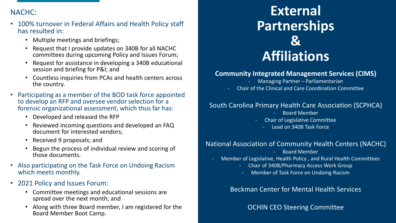#### NACHC:

- 100% turnover in Federal Affairs and Health Policy staff has resulted in:
	- Multiple meetings and briefings;
	- Request that I provide updates on 340B for all NACHC committees during upcoming Policy and Issues Forum;
	- Request for assistance in developing a 340B educational session and briefing for P&I; and
	- Countless inquiries from PCAs and health centers across the country.
- Participating as a member of the BOD task force appointed to develop an RFP and oversee vendor selection for a forensic organizational assessment, which thus far has:
	- Developed and released the RFP
	- Reviewed incoming questions and developed an FAQ document for interested vendors;
	- Received 9 proposals; and
	- Begun the process of individual review and scoring of those documents.
- Also participating on the Task Force on Undoing Racism which meets monthly.
- 2021 Policy and Issues Forum:
	- Committee meetings and educational sessions are spread over the next month; and
	- Along with three Board member, I am registered for the Board Member Boot Camp.

### **External Partnerships & Affiliations**

#### **Community Integrated Management Services (CIMS)**

- Managing Partner Parliamentarian
- Chair of the Clinical and Care Coordination Committee

#### South Carolina Primary Health Care Association (SCPHCA)

- Board Member
- Chair of Legislative Committee
	- Lead on 340B Task Force

#### National Association of Community Health Centers (NACHC)

- Board Member
- Member of Legislative, Health Policy , and Rural Health Committees
	- Chair of 340B/Pharmacy Access Work Group
		- Member of Task Force on Undoing Racism

#### Beckman Center for Mental Health Services

#### OCHIN CEO Steering Committee